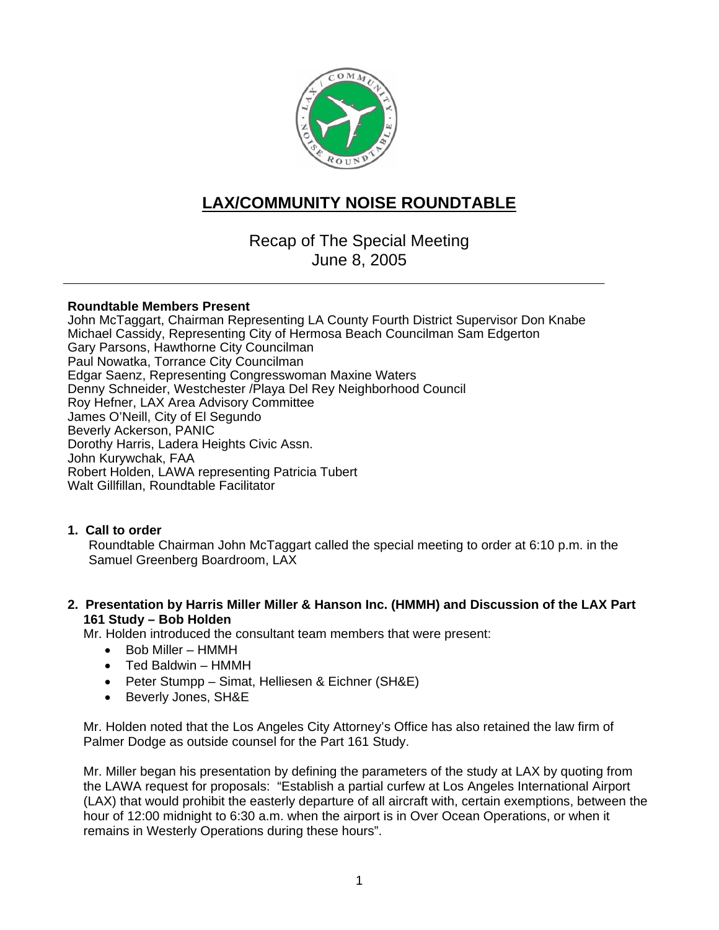

## **LAX/COMMUNITY NOISE ROUNDTABLE**

Recap of The Special Meeting June 8, 2005

#### **Roundtable Members Present**

John McTaggart, Chairman Representing LA County Fourth District Supervisor Don Knabe Michael Cassidy, Representing City of Hermosa Beach Councilman Sam Edgerton Gary Parsons, Hawthorne City Councilman Paul Nowatka, Torrance City Councilman Edgar Saenz, Representing Congresswoman Maxine Waters Denny Schneider, Westchester /Playa Del Rey Neighborhood Council Roy Hefner, LAX Area Advisory Committee James O'Neill, City of El Segundo Beverly Ackerson, PANIC Dorothy Harris, Ladera Heights Civic Assn. John Kurywchak, FAA Robert Holden, LAWA representing Patricia Tubert Walt Gillfillan, Roundtable Facilitator

#### **1. Call to order**

Roundtable Chairman John McTaggart called the special meeting to order at 6:10 p.m. in the Samuel Greenberg Boardroom, LAX

#### **2. Presentation by Harris Miller Miller & Hanson Inc. (HMMH) and Discussion of the LAX Part 161 Study – Bob Holden**

Mr. Holden introduced the consultant team members that were present:

- Bob Miller HMMH
- Ted Baldwin HMMH
- Peter Stumpp Simat, Helliesen & Eichner (SH&E)
- Beverly Jones, SH&E

Mr. Holden noted that the Los Angeles City Attorney's Office has also retained the law firm of Palmer Dodge as outside counsel for the Part 161 Study.

Mr. Miller began his presentation by defining the parameters of the study at LAX by quoting from the LAWA request for proposals: "Establish a partial curfew at Los Angeles International Airport (LAX) that would prohibit the easterly departure of all aircraft with, certain exemptions, between the hour of 12:00 midnight to 6:30 a.m. when the airport is in Over Ocean Operations, or when it remains in Westerly Operations during these hours".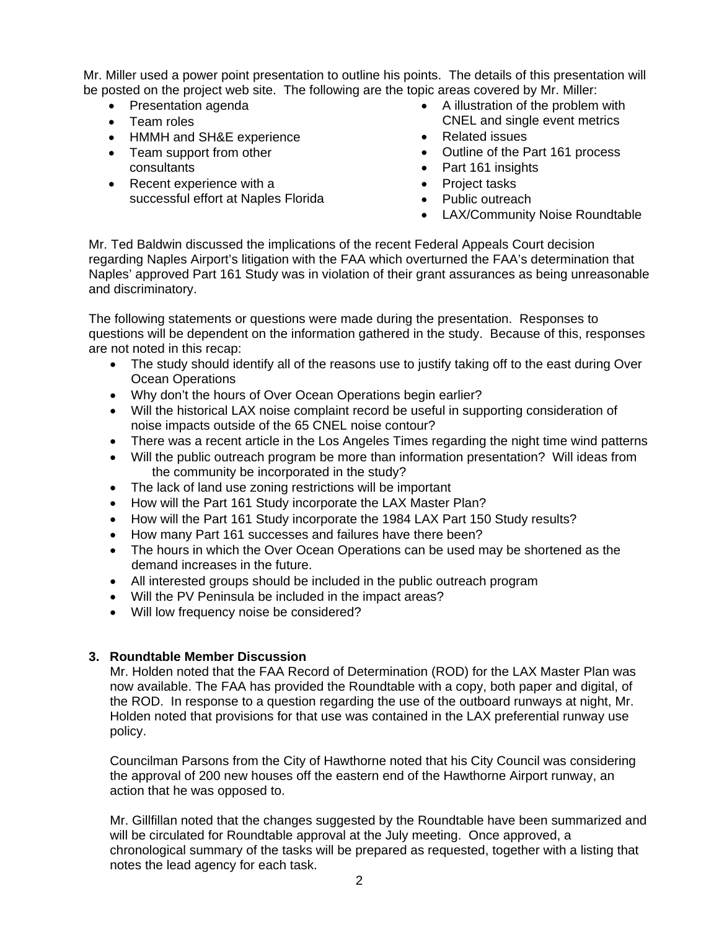Mr. Miller used a power point presentation to outline his points. The details of this presentation will be posted on the project web site. The following are the topic areas covered by Mr. Miller:

- Presentation agenda
- Team roles
- HMMH and SH&E experience
- Team support from other consultants
- Recent experience with a successful effort at Naples Florida
- A illustration of the problem with CNEL and single event metrics
- Related issues
- Outline of the Part 161 process
- Part 161 insights
- Project tasks
- Public outreach
- LAX/Community Noise Roundtable

Mr. Ted Baldwin discussed the implications of the recent Federal Appeals Court decision regarding Naples Airport's litigation with the FAA which overturned the FAA's determination that Naples' approved Part 161 Study was in violation of their grant assurances as being unreasonable and discriminatory.

The following statements or questions were made during the presentation. Responses to questions will be dependent on the information gathered in the study. Because of this, responses are not noted in this recap:

- The study should identify all of the reasons use to justify taking off to the east during Over Ocean Operations
- Why don't the hours of Over Ocean Operations begin earlier?
- Will the historical LAX noise complaint record be useful in supporting consideration of noise impacts outside of the 65 CNEL noise contour?
- There was a recent article in the Los Angeles Times regarding the night time wind patterns
- Will the public outreach program be more than information presentation? Will ideas from the community be incorporated in the study?
- The lack of land use zoning restrictions will be important
- How will the Part 161 Study incorporate the LAX Master Plan?
- How will the Part 161 Study incorporate the 1984 LAX Part 150 Study results?
- How many Part 161 successes and failures have there been?
- The hours in which the Over Ocean Operations can be used may be shortened as the demand increases in the future.
- All interested groups should be included in the public outreach program
- Will the PV Peninsula be included in the impact areas?
- Will low frequency noise be considered?

#### **3. Roundtable Member Discussion**

Mr. Holden noted that the FAA Record of Determination (ROD) for the LAX Master Plan was now available. The FAA has provided the Roundtable with a copy, both paper and digital, of the ROD. In response to a question regarding the use of the outboard runways at night, Mr. Holden noted that provisions for that use was contained in the LAX preferential runway use policy.

Councilman Parsons from the City of Hawthorne noted that his City Council was considering the approval of 200 new houses off the eastern end of the Hawthorne Airport runway, an action that he was opposed to.

Mr. Gillfillan noted that the changes suggested by the Roundtable have been summarized and will be circulated for Roundtable approval at the July meeting. Once approved, a chronological summary of the tasks will be prepared as requested, together with a listing that notes the lead agency for each task.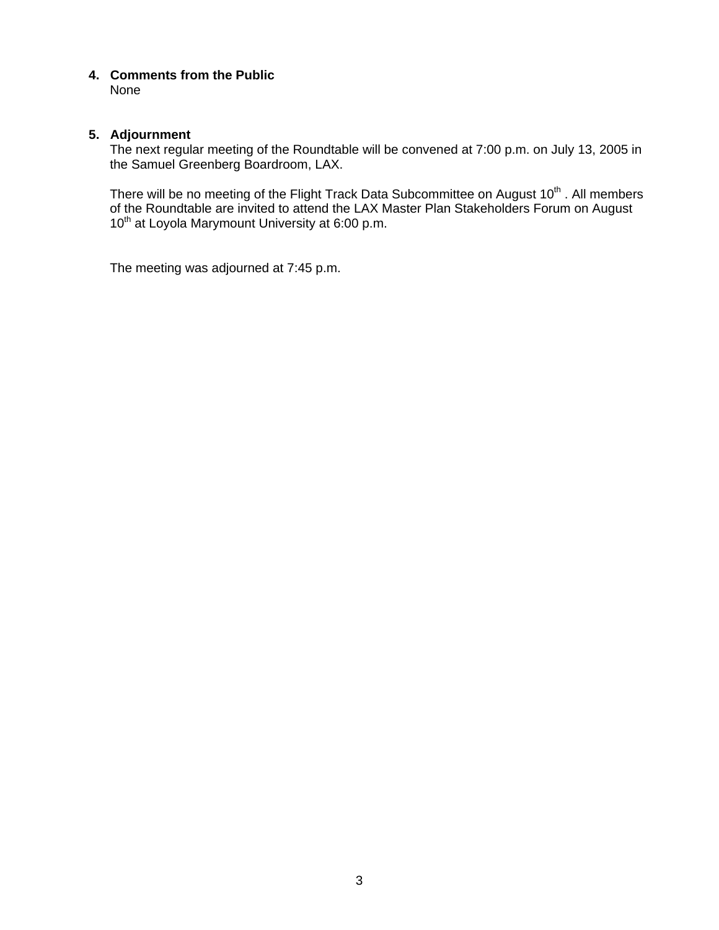**4. Comments from the Public**  None

#### **5. Adjournment**

The next regular meeting of the Roundtable will be convened at 7:00 p.m. on July 13, 2005 in the Samuel Greenberg Boardroom, LAX.

There will be no meeting of the Flight Track Data Subcommittee on August 10<sup>th</sup>. All members of the Roundtable are invited to attend the LAX Master Plan Stakeholders Forum on August 10<sup>th</sup> at Loyola Marymount University at 6:00 p.m.

The meeting was adjourned at 7:45 p.m.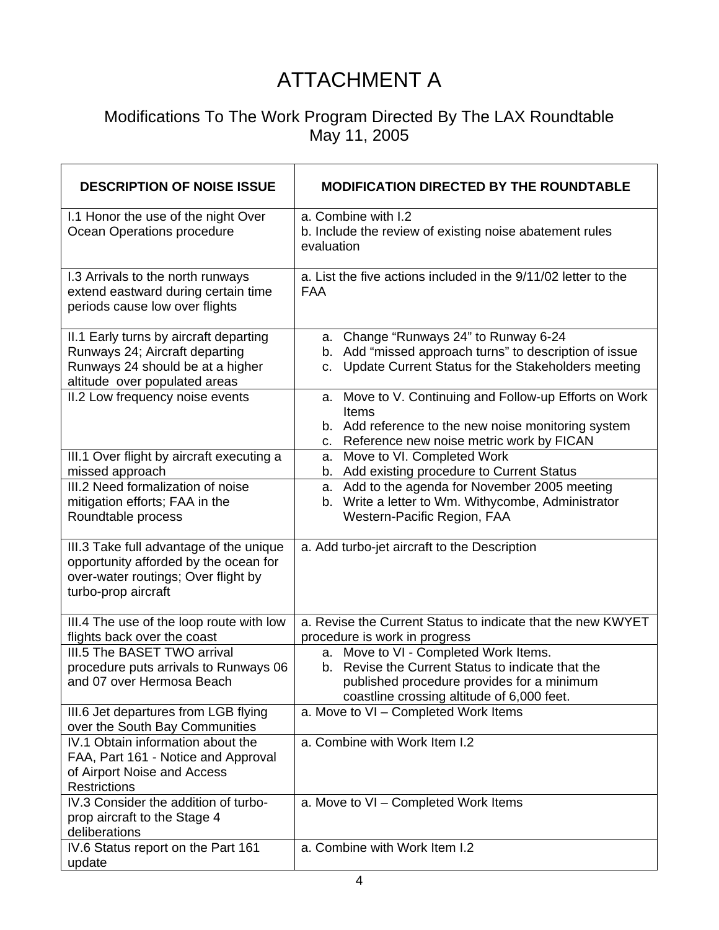# ATTACHMENT A

### Modifications To The Work Program Directed By The LAX Roundtable May 11, 2005

| <b>DESCRIPTION OF NOISE ISSUE</b>                                                                                                              | <b>MODIFICATION DIRECTED BY THE ROUNDTABLE</b>                                                                                                                                            |
|------------------------------------------------------------------------------------------------------------------------------------------------|-------------------------------------------------------------------------------------------------------------------------------------------------------------------------------------------|
| I.1 Honor the use of the night Over<br>Ocean Operations procedure                                                                              | a. Combine with I.2<br>b. Include the review of existing noise abatement rules<br>evaluation                                                                                              |
| I.3 Arrivals to the north runways<br>extend eastward during certain time<br>periods cause low over flights                                     | a. List the five actions included in the 9/11/02 letter to the<br><b>FAA</b>                                                                                                              |
| II.1 Early turns by aircraft departing<br>Runways 24; Aircraft departing<br>Runways 24 should be at a higher<br>altitude over populated areas  | a. Change "Runways 24" to Runway 6-24<br>b. Add "missed approach turns" to description of issue<br>Update Current Status for the Stakeholders meeting<br>C.                               |
| II.2 Low frequency noise events                                                                                                                | a. Move to V. Continuing and Follow-up Efforts on Work<br>Items<br>b. Add reference to the new noise monitoring system<br>Reference new noise metric work by FICAN<br>C.                  |
| III.1 Over flight by aircraft executing a<br>missed approach                                                                                   | Move to VI. Completed Work<br>а.<br>b. Add existing procedure to Current Status                                                                                                           |
| III.2 Need formalization of noise<br>mitigation efforts; FAA in the<br>Roundtable process                                                      | a. Add to the agenda for November 2005 meeting<br>b. Write a letter to Wm. Withycombe, Administrator<br>Western-Pacific Region, FAA                                                       |
| III.3 Take full advantage of the unique<br>opportunity afforded by the ocean for<br>over-water routings; Over flight by<br>turbo-prop aircraft | a. Add turbo-jet aircraft to the Description                                                                                                                                              |
| III.4 The use of the loop route with low<br>flights back over the coast                                                                        | a. Revise the Current Status to indicate that the new KWYET<br>procedure is work in progress                                                                                              |
| III.5 The BASET TWO arrival<br>procedure puts arrivals to Runways 06<br>and 07 over Hermosa Beach                                              | a. Move to VI - Completed Work Items.<br>Revise the Current Status to indicate that the<br>b.<br>published procedure provides for a minimum<br>coastline crossing altitude of 6,000 feet. |
| III.6 Jet departures from LGB flying<br>over the South Bay Communities                                                                         | a. Move to VI - Completed Work Items                                                                                                                                                      |
| IV.1 Obtain information about the<br>FAA, Part 161 - Notice and Approval<br>of Airport Noise and Access<br><b>Restrictions</b>                 | a. Combine with Work Item I.2                                                                                                                                                             |
| IV.3 Consider the addition of turbo-<br>prop aircraft to the Stage 4<br>deliberations                                                          | a. Move to VI - Completed Work Items                                                                                                                                                      |
| IV.6 Status report on the Part 161<br>update                                                                                                   | a. Combine with Work Item I.2                                                                                                                                                             |